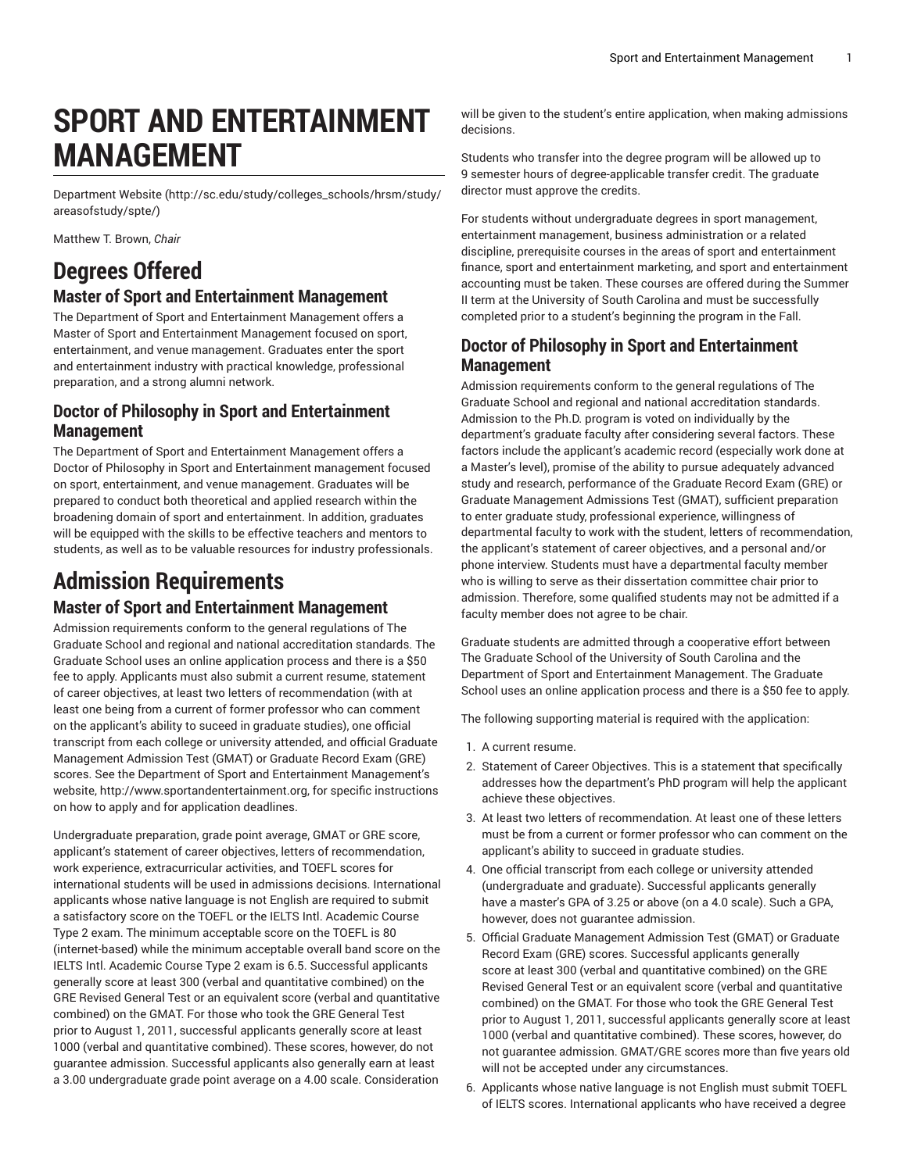# **SPORT AND ENTERTAINMENT MANAGEMENT**

[Department](http://sc.edu/study/colleges_schools/hrsm/study/areasofstudy/spte/) Website [\(http://sc.edu/study/colleges\\_schools/hrsm/study/](http://sc.edu/study/colleges_schools/hrsm/study/areasofstudy/spte/) [areasofstudy/spte/\)](http://sc.edu/study/colleges_schools/hrsm/study/areasofstudy/spte/)

Matthew T. Brown, *Chair*

## **Degrees Offered**

### **Master of Sport and Entertainment Management**

The Department of Sport and Entertainment Management offers a Master of Sport and Entertainment Management focused on sport, entertainment, and venue management. Graduates enter the sport and entertainment industry with practical knowledge, professional preparation, and a strong alumni network.

### **Doctor of Philosophy in Sport and Entertainment Management**

The Department of Sport and Entertainment Management offers a Doctor of Philosophy in Sport and Entertainment management focused on sport, entertainment, and venue management. Graduates will be prepared to conduct both theoretical and applied research within the broadening domain of sport and entertainment. In addition, graduates will be equipped with the skills to be effective teachers and mentors to students, as well as to be valuable resources for industry professionals.

## **Admission Requirements Master of Sport and Entertainment Management**

Admission requirements conform to the general regulations of The Graduate School and regional and national accreditation standards. The Graduate School uses an online application process and there is a \$50 fee to apply. Applicants must also submit a current resume, statement of career objectives, at least two letters of recommendation (with at least one being from a current of former professor who can comment on the applicant's ability to suceed in graduate studies), one official transcript from each college or university attended, and official Graduate Management Admission Test (GMAT) or Graduate Record Exam (GRE) scores. See the Department of Sport and Entertainment Management's website, [http://www.sportandentertainment.org,](http://www.sportandentertainment.org) for specific instructions on how to apply and for application deadlines.

Undergraduate preparation, grade point average, GMAT or GRE score, applicant's statement of career objectives, letters of recommendation, work experience, extracurricular activities, and TOEFL scores for international students will be used in admissions decisions. International applicants whose native language is not English are required to submit a satisfactory score on the TOEFL or the IELTS Intl. Academic Course Type 2 exam. The minimum acceptable score on the TOEFL is 80 (internet-based) while the minimum acceptable overall band score on the IELTS Intl. Academic Course Type 2 exam is 6.5. Successful applicants generally score at least 300 (verbal and quantitative combined) on the GRE Revised General Test or an equivalent score (verbal and quantitative combined) on the GMAT. For those who took the GRE General Test prior to August 1, 2011, successful applicants generally score at least 1000 (verbal and quantitative combined). These scores, however, do not guarantee admission. Successful applicants also generally earn at least a 3.00 undergraduate grade point average on a 4.00 scale. Consideration

will be given to the student's entire application, when making admissions decisions.

Students who transfer into the degree program will be allowed up to 9 semester hours of degree-applicable transfer credit. The graduate director must approve the credits.

For students without undergraduate degrees in sport management, entertainment management, business administration or a related discipline, prerequisite courses in the areas of sport and entertainment finance, sport and entertainment marketing, and sport and entertainment accounting must be taken. These courses are offered during the Summer II term at the University of South Carolina and must be successfully completed prior to a student's beginning the program in the Fall.

### **Doctor of Philosophy in Sport and Entertainment Management**

Admission requirements conform to the general regulations of The Graduate School and regional and national accreditation standards. Admission to the Ph.D. program is voted on individually by the department's graduate faculty after considering several factors. These factors include the applicant's academic record (especially work done at a Master's level), promise of the ability to pursue adequately advanced study and research, performance of the Graduate Record Exam (GRE) or Graduate Management Admissions Test (GMAT), sufficient preparation to enter graduate study, professional experience, willingness of departmental faculty to work with the student, letters of recommendation, the applicant's statement of career objectives, and a personal and/or phone interview. Students must have a departmental faculty member who is willing to serve as their dissertation committee chair prior to admission. Therefore, some qualified students may not be admitted if a faculty member does not agree to be chair.

Graduate students are admitted through a cooperative effort between The Graduate School of the University of South Carolina and the Department of Sport and Entertainment Management. The Graduate School uses an online application process and there is a \$50 fee to apply.

The following supporting material is required with the application:

- 1. A current resume.
- 2. Statement of Career Objectives. This is a statement that specifically addresses how the department's PhD program will help the applicant achieve these objectives.
- 3. At least two letters of recommendation. At least one of these letters must be from a current or former professor who can comment on the applicant's ability to succeed in graduate studies.
- 4. One official transcript from each college or university attended (undergraduate and graduate). Successful applicants generally have a master's GPA of 3.25 or above (on a 4.0 scale). Such a GPA, however, does not guarantee admission.
- 5. Official Graduate Management Admission Test (GMAT) or Graduate Record Exam (GRE) scores. Successful applicants generally score at least 300 (verbal and quantitative combined) on the GRE Revised General Test or an equivalent score (verbal and quantitative combined) on the GMAT. For those who took the GRE General Test prior to August 1, 2011, successful applicants generally score at least 1000 (verbal and quantitative combined). These scores, however, do not guarantee admission. GMAT/GRE scores more than five years old will not be accepted under any circumstances.
- 6. Applicants whose native language is not English must submit TOEFL of IELTS scores. International applicants who have received a degree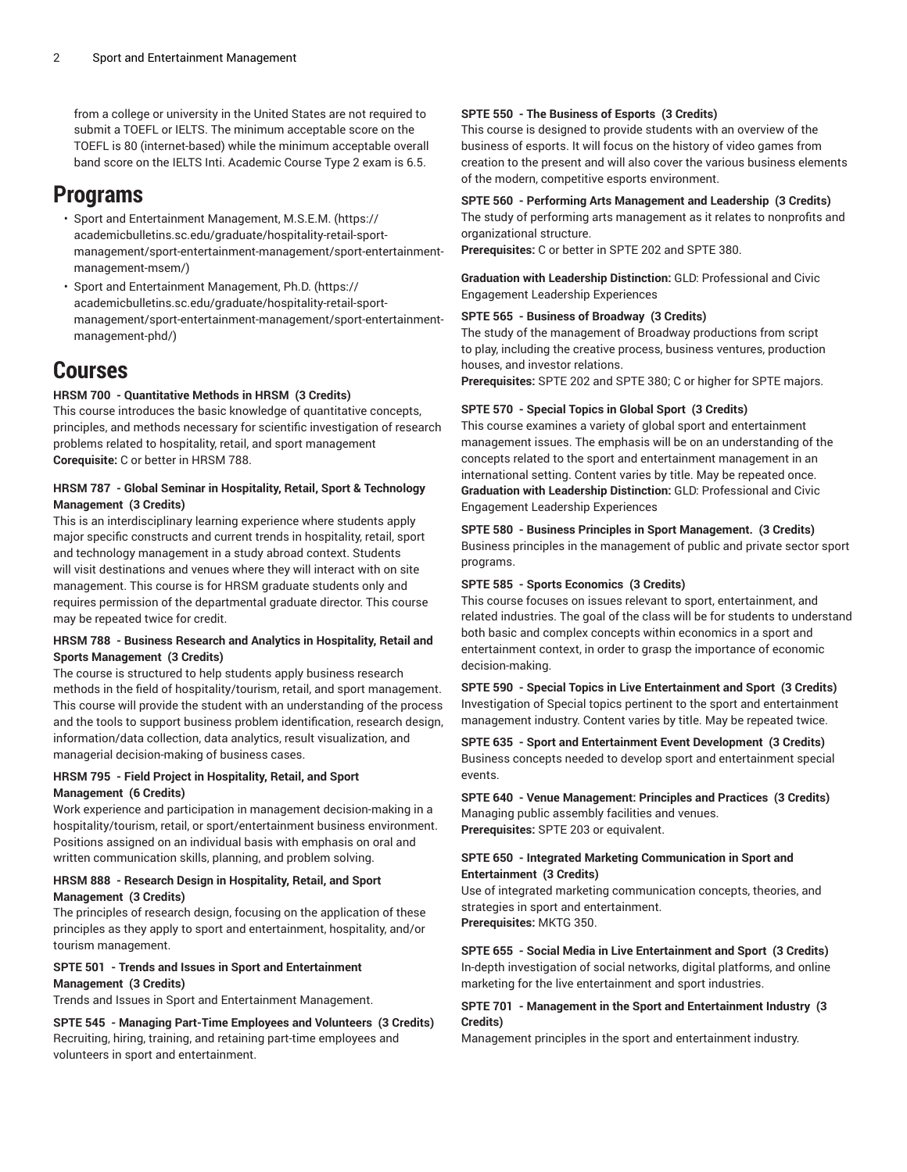from a college or university in the United States are not required to submit a TOEFL or IELTS. The minimum acceptable score on the TOEFL is 80 (internet-based) while the minimum acceptable overall band score on the IELTS Inti. Academic Course Type 2 exam is 6.5.

## **Programs**

- Sport and [Entertainment](https://academicbulletins.sc.edu/graduate/hospitality-retail-sport-management/sport-entertainment-management/sport-entertainment-management-msem/) Management, M.S.E.M. [\(https://](https://academicbulletins.sc.edu/graduate/hospitality-retail-sport-management/sport-entertainment-management/sport-entertainment-management-msem/) [academicbulletins.sc.edu/graduate/hospitality-retail-sport](https://academicbulletins.sc.edu/graduate/hospitality-retail-sport-management/sport-entertainment-management/sport-entertainment-management-msem/)[management/sport-entertainment-management/sport-entertainment](https://academicbulletins.sc.edu/graduate/hospitality-retail-sport-management/sport-entertainment-management/sport-entertainment-management-msem/)[management-msem/](https://academicbulletins.sc.edu/graduate/hospitality-retail-sport-management/sport-entertainment-management/sport-entertainment-management-msem/))
- Sport and [Entertainment](https://academicbulletins.sc.edu/graduate/hospitality-retail-sport-management/sport-entertainment-management/sport-entertainment-management-phd/) Management, Ph.D. ([https://](https://academicbulletins.sc.edu/graduate/hospitality-retail-sport-management/sport-entertainment-management/sport-entertainment-management-phd/) [academicbulletins.sc.edu/graduate/hospitality-retail-sport](https://academicbulletins.sc.edu/graduate/hospitality-retail-sport-management/sport-entertainment-management/sport-entertainment-management-phd/)[management/sport-entertainment-management/sport-entertainment](https://academicbulletins.sc.edu/graduate/hospitality-retail-sport-management/sport-entertainment-management/sport-entertainment-management-phd/)[management-phd/\)](https://academicbulletins.sc.edu/graduate/hospitality-retail-sport-management/sport-entertainment-management/sport-entertainment-management-phd/)

## **Courses**

#### **HRSM 700 - Quantitative Methods in HRSM (3 Credits)**

This course introduces the basic knowledge of quantitative concepts, principles, and methods necessary for scientific investigation of research problems related to hospitality, retail, and sport management **Corequisite:** C or better in HRSM 788.

#### **HRSM 787 - Global Seminar in Hospitality, Retail, Sport & Technology Management (3 Credits)**

This is an interdisciplinary learning experience where students apply major specific constructs and current trends in hospitality, retail, sport and technology management in a study abroad context. Students will visit destinations and venues where they will interact with on site management. This course is for HRSM graduate students only and requires permission of the departmental graduate director. This course may be repeated twice for credit.

#### **HRSM 788 - Business Research and Analytics in Hospitality, Retail and Sports Management (3 Credits)**

The course is structured to help students apply business research methods in the field of hospitality/tourism, retail, and sport management. This course will provide the student with an understanding of the process and the tools to support business problem identification, research design, information/data collection, data analytics, result visualization, and managerial decision-making of business cases.

#### **HRSM 795 - Field Project in Hospitality, Retail, and Sport Management (6 Credits)**

Work experience and participation in management decision-making in a hospitality/tourism, retail, or sport/entertainment business environment. Positions assigned on an individual basis with emphasis on oral and written communication skills, planning, and problem solving.

#### **HRSM 888 - Research Design in Hospitality, Retail, and Sport Management (3 Credits)**

The principles of research design, focusing on the application of these principles as they apply to sport and entertainment, hospitality, and/or tourism management.

#### **SPTE 501 - Trends and Issues in Sport and Entertainment Management (3 Credits)**

Trends and Issues in Sport and Entertainment Management.

**SPTE 545 - Managing Part-Time Employees and Volunteers (3 Credits)** Recruiting, hiring, training, and retaining part-time employees and volunteers in sport and entertainment.

#### **SPTE 550 - The Business of Esports (3 Credits)**

This course is designed to provide students with an overview of the business of esports. It will focus on the history of video games from creation to the present and will also cover the various business elements of the modern, competitive esports environment.

#### **SPTE 560 - Performing Arts Management and Leadership (3 Credits)**

The study of performing arts management as it relates to nonprofits and organizational structure.

**Prerequisites:** C or better in SPTE 202 and SPTE 380.

**Graduation with Leadership Distinction:** GLD: Professional and Civic Engagement Leadership Experiences

#### **SPTE 565 - Business of Broadway (3 Credits)**

The study of the management of Broadway productions from script to play, including the creative process, business ventures, production houses, and investor relations.

**Prerequisites:** SPTE 202 and SPTE 380; C or higher for SPTE majors.

#### **SPTE 570 - Special Topics in Global Sport (3 Credits)**

This course examines a variety of global sport and entertainment management issues. The emphasis will be on an understanding of the concepts related to the sport and entertainment management in an international setting. Content varies by title. May be repeated once. **Graduation with Leadership Distinction:** GLD: Professional and Civic Engagement Leadership Experiences

**SPTE 580 - Business Principles in Sport Management. (3 Credits)** Business principles in the management of public and private sector sport programs.

#### **SPTE 585 - Sports Economics (3 Credits)**

This course focuses on issues relevant to sport, entertainment, and related industries. The goal of the class will be for students to understand both basic and complex concepts within economics in a sport and entertainment context, in order to grasp the importance of economic decision-making.

**SPTE 590 - Special Topics in Live Entertainment and Sport (3 Credits)** Investigation of Special topics pertinent to the sport and entertainment management industry. Content varies by title. May be repeated twice.

**SPTE 635 - Sport and Entertainment Event Development (3 Credits)** Business concepts needed to develop sport and entertainment special events.

**SPTE 640 - Venue Management: Principles and Practices (3 Credits)** Managing public assembly facilities and venues. **Prerequisites:** SPTE 203 or equivalent.

#### **SPTE 650 - Integrated Marketing Communication in Sport and Entertainment (3 Credits)**

Use of integrated marketing communication concepts, theories, and strategies in sport and entertainment. **Prerequisites:** MKTG 350.

**SPTE 655 - Social Media in Live Entertainment and Sport (3 Credits)** In-depth investigation of social networks, digital platforms, and online marketing for the live entertainment and sport industries.

#### **SPTE 701 - Management in the Sport and Entertainment Industry (3 Credits)**

Management principles in the sport and entertainment industry.